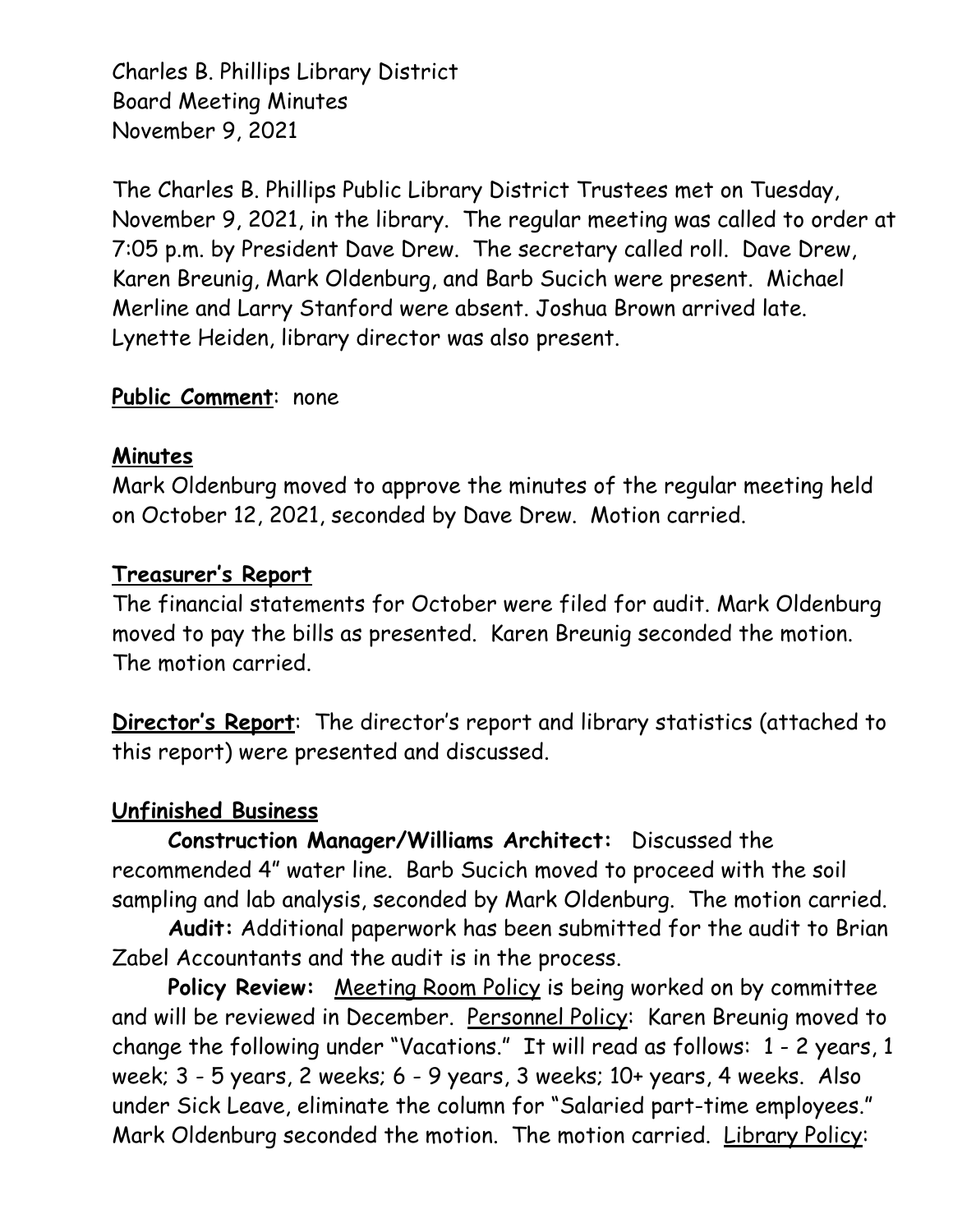Charles B. Phillips Library District Board Meeting Minutes November 9, 2021

The Charles B. Phillips Public Library District Trustees met on Tuesday, November 9, 2021, in the library. The regular meeting was called to order at 7:05 p.m. by President Dave Drew. The secretary called roll. Dave Drew, Karen Breunig, Mark Oldenburg, and Barb Sucich were present. Michael Merline and Larry Stanford were absent. Joshua Brown arrived late. Lynette Heiden, library director was also present.

## **Public Comment**: none

## **Minutes**

Mark Oldenburg moved to approve the minutes of the regular meeting held on October 12, 2021, seconded by Dave Drew. Motion carried.

## **Treasurer's Report**

The financial statements for October were filed for audit. Mark Oldenburg moved to pay the bills as presented. Karen Breunig seconded the motion. The motion carried.

**Director's Report**: The director's report and library statistics (attached to this report) were presented and discussed.

## **Unfinished Business**

**Construction Manager/Williams Architect:** Discussed the recommended 4" water line. Barb Sucich moved to proceed with the soil sampling and lab analysis, seconded by Mark Oldenburg. The motion carried.

**Audit:** Additional paperwork has been submitted for the audit to Brian Zabel Accountants and the audit is in the process.

Policy Review: Meeting Room Policy is being worked on by committee and will be reviewed in December. Personnel Policy: Karen Breunig moved to change the following under "Vacations." It will read as follows: 1 - 2 years, 1 week; 3 - 5 years, 2 weeks; 6 - 9 years, 3 weeks; 10+ years, 4 weeks. Also under Sick Leave, eliminate the column for "Salaried part-time employees." Mark Oldenburg seconded the motion. The motion carried. Library Policy: